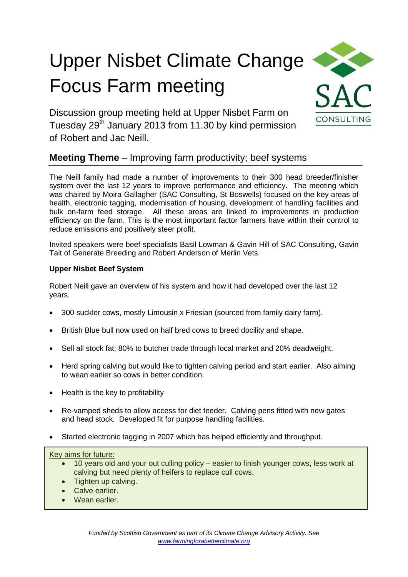# Upper Nisbet Climate Change Focus Farm meeting



Discussion group meeting held at Upper Nisbet Farm on Tuesday 29<sup>th</sup> January 2013 from 11.30 by kind permission of Robert and Jac Neill.

# **Meeting Theme** – Improving farm productivity; beef systems

The Neill family had made a number of improvements to their 300 head breeder/finisher system over the last 12 years to improve performance and efficiency. The meeting which was chaired by Moira Gallagher (SAC Consulting, St Boswells) focused on the key areas of health, electronic tagging, modernisation of housing, development of handling facilities and bulk on-farm feed storage. All these areas are linked to improvements in production efficiency on the farm. This is the most important factor farmers have within their control to reduce emissions and positively steer profit.

Invited speakers were beef specialists Basil Lowman & Gavin Hill of SAC Consulting, Gavin Tait of Generate Breeding and Robert Anderson of Merlin Vets.

# **Upper Nisbet Beef System**

Robert Neill gave an overview of his system and how it had developed over the last 12 years.

- 300 suckler cows, mostly Limousin x Friesian (sourced from family dairy farm).
- British Blue bull now used on half bred cows to breed docility and shape.
- Sell all stock fat; 80% to butcher trade through local market and 20% deadweight.
- Herd spring calving but would like to tighten calving period and start earlier. Also aiming to wean earlier so cows in better condition.
- $\bullet$  Health is the key to profitability
- Re-vamped sheds to allow access for diet feeder. Calving pens fitted with new gates and head stock. Developed fit for purpose handling facilities.
- Started electronic tagging in 2007 which has helped efficiently and throughput.

#### Key aims for future:

- 10 years old and your out culling policy easier to finish younger cows, less work at calving but need plenty of heifers to replace cull cows.
- Tighten up calving.
- Calve earlier.
- Wean earlier.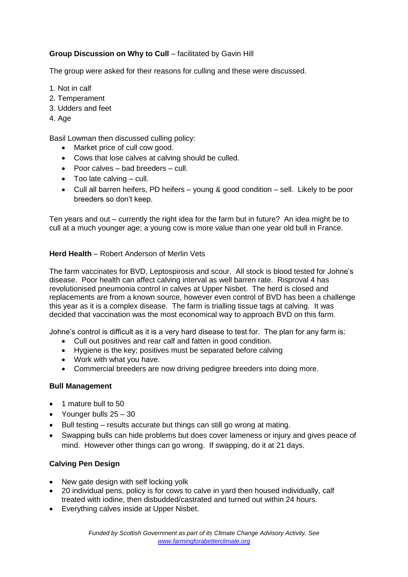# **Group Discussion on Why to Cull** – facilitated by Gavin Hill

The group were asked for their reasons for culling and these were discussed.

- 1. Not in calf
- 2. Temperament
- 3. Udders and feet
- 4. Age

Basil Lowman then discussed culling policy:

- Market price of cull cow good.
- Cows that lose calves at calving should be culled.
- Poor calves bad breeders cull.
- $\bullet$  Too late calving  $-$  cull.
- Cull all barren heifers, PD heifers young & good condition sell. Likely to be poor breeders so don't keep.

Ten years and out – currently the right idea for the farm but in future? An idea might be to cull at a much younger age; a young cow is more value than one year old bull in France.

## **Herd Health** – Robert Anderson of Merlin Vets

The farm vaccinates for BVD, Leptospirosis and scour. All stock is blood tested for Johne's disease. Poor health can affect calving interval as well barren rate. Risproval 4 has revolutionised pneumonia control in calves at Upper Nisbet. The herd is closed and replacements are from a known source, however even control of BVD has been a challenge this year as it is a complex disease. The farm is trialling tissue tags at calving. It was decided that vaccination was the most economical way to approach BVD on this farm.

Johne's control is difficult as it is a very hard disease to test for. The plan for any farm is:

- Cull out positives and rear calf and fatten in good condition.
- Hygiene is the key; positives must be separated before calving
- Work with what you have.
- Commercial breeders are now driving pedigree breeders into doing more.

#### **Bull Management**

- 1 mature bull to 50
- Younger bulls 25 30
- Bull testing results accurate but things can still go wrong at mating.
- Swapping bulls can hide problems but does cover lameness or injury and gives peace of mind. However other things can go wrong. If swapping, do it at 21 days.

# **Calving Pen Design**

- New gate design with self locking yolk
- 20 individual pens, policy is for cows to calve in yard then housed individually, calf treated with iodine, then disbudded/castrated and turned out within 24 hours.
- Everything calves inside at Upper Nisbet.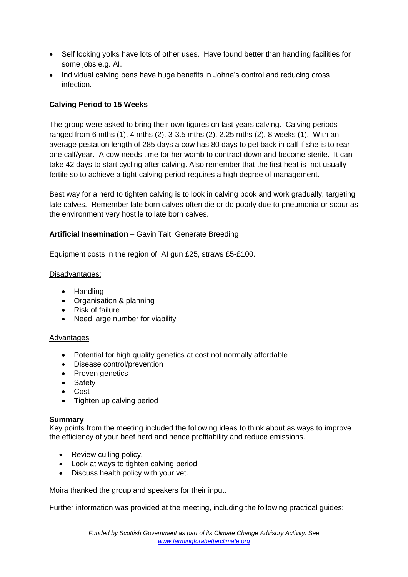- Self locking yolks have lots of other uses. Have found better than handling facilities for some jobs e.g. AI.
- Individual calving pens have huge benefits in Johne's control and reducing cross infection.

# **Calving Period to 15 Weeks**

The group were asked to bring their own figures on last years calving. Calving periods ranged from 6 mths (1), 4 mths (2), 3-3.5 mths (2), 2.25 mths (2), 8 weeks (1). With an average gestation length of 285 days a cow has 80 days to get back in calf if she is to rear one calf/year. A cow needs time for her womb to contract down and become sterile. It can take 42 days to start cycling after calving. Also remember that the first heat is not usually fertile so to achieve a tight calving period requires a high degree of management.

Best way for a herd to tighten calving is to look in calving book and work gradually, targeting late calves. Remember late born calves often die or do poorly due to pneumonia or scour as the environment very hostile to late born calves.

# **Artificial Insemination** – Gavin Tait, Generate Breeding

Equipment costs in the region of: AI gun £25, straws £5-£100.

## Disadvantages:

- Handling
- Organisation & planning
- Risk of failure
- Need large number for viability

#### Advantages

- Potential for high quality genetics at cost not normally affordable
- Disease control/prevention
- Proven genetics
- Safety
- Cost
- Tighten up calving period

#### **Summary**

Key points from the meeting included the following ideas to think about as ways to improve the efficiency of your beef herd and hence profitability and reduce emissions.

- Review culling policy.
- Look at ways to tighten calving period.
- Discuss health policy with your vet.

Moira thanked the group and speakers for their input.

Further information was provided at the meeting, including the following practical guides: